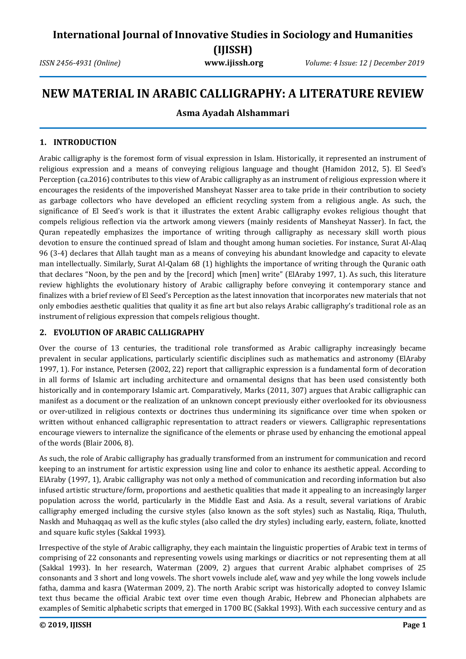*ISSN 2456-4931 (Online)* **www.ijissh.org** *Volume: 4 Issue: 12 | December 2019*

# **NEW MATERIAL IN ARABIC CALLIGRAPHY: A LITERATURE REVIEW**

## **Asma Ayadah Alshammari**

#### **1. INTRODUCTION**

Arabic calligraphy is the foremost form of visual expression in Islam. Historically, it represented an instrument of religious expression and a means of conveying religious language and thought (Hamidon 2012, 5). El Seed's Perception (ca.2016) contributes to this view of Arabic calligraphy as an instrument of religious expression where it encourages the residents of the impoverished Mansheyat Nasser area to take pride in their contribution to society as garbage collectors who have developed an efficient recycling system from a religious angle. As such, the significance of El Seed's work is that it illustrates the extent Arabic calligraphy evokes religious thought that compels religious reflection via the artwork among viewers (mainly residents of Mansheyat Nasser). In fact, the Quran repeatedly emphasizes the importance of writing through calligraphy as necessary skill worth pious devotion to ensure the continued spread of Islam and thought among human societies. For instance, Surat Al-Alaq 96 (3-4) declares that Allah taught man as a means of conveying his abundant knowledge and capacity to elevate man intellectually. Similarly, Surat Al-Qalam 68 (1) highlights the importance of writing through the Quranic oath that declares "Noon, by the pen and by the [record] which [men] write" (ElAraby 1997, 1). As such, this literature review highlights the evolutionary history of Arabic calligraphy before conveying it contemporary stance and finalizes with a brief review of El Seed's Perception as the latest innovation that incorporates new materials that not only embodies aesthetic qualities that quality it as fine art but also relays Arabic calligraphy's traditional role as an instrument of religious expression that compels religious thought.

## **2. EVOLUTION OF ARABIC CALLIGRAPHY**

Over the course of 13 centuries, the traditional role transformed as Arabic calligraphy increasingly became prevalent in secular applications, particularly scientific disciplines such as mathematics and astronomy (ElAraby 1997, 1). For instance, Petersen (2002, 22) report that calligraphic expression is a fundamental form of decoration in all forms of Islamic art including architecture and ornamental designs that has been used consistently both historically and in contemporary Islamic art. Comparatively, Marks (2011, 307) argues that Arabic calligraphic can manifest as a document or the realization of an unknown concept previously either overlooked for its obviousness or over-utilized in religious contexts or doctrines thus undermining its significance over time when spoken or written without enhanced calligraphic representation to attract readers or viewers. Calligraphic representations encourage viewers to internalize the significance of the elements or phrase used by enhancing the emotional appeal of the words (Blair 2006, 8).

As such, the role of Arabic calligraphy has gradually transformed from an instrument for communication and record keeping to an instrument for artistic expression using line and color to enhance its aesthetic appeal. According to ElAraby (1997, 1), Arabic calligraphy was not only a method of communication and recording information but also infused artistic structure/form, proportions and aesthetic qualities that made it appealing to an increasingly larger population across the world, particularly in the Middle East and Asia. As a result, several variations of Arabic calligraphy emerged including the cursive styles (also known as the soft styles) such as Nastaliq, Riqa, Thuluth, Naskh and Muhaqqaq as well as the kufic styles (also called the dry styles) including early, eastern, foliate, knotted and square kufic styles (Sakkal 1993).

Irrespective of the style of Arabic calligraphy, they each maintain the linguistic properties of Arabic text in terms of comprising of 22 consonants and representing vowels using markings or diacritics or not representing them at all (Sakkal 1993). In her research, Waterman (2009, 2) argues that current Arabic alphabet comprises of 25 consonants and 3 short and long vowels. The short vowels include alef, waw and yey while the long vowels include fatha, damma and kasra (Waterman 2009, 2). The north Arabic script was historically adopted to convey Islamic text thus became the official Arabic text over time even though Arabic, Hebrew and Phonecian alphabets are examples of Semitic alphabetic scripts that emerged in 1700 BC (Sakkal 1993). With each successive century and as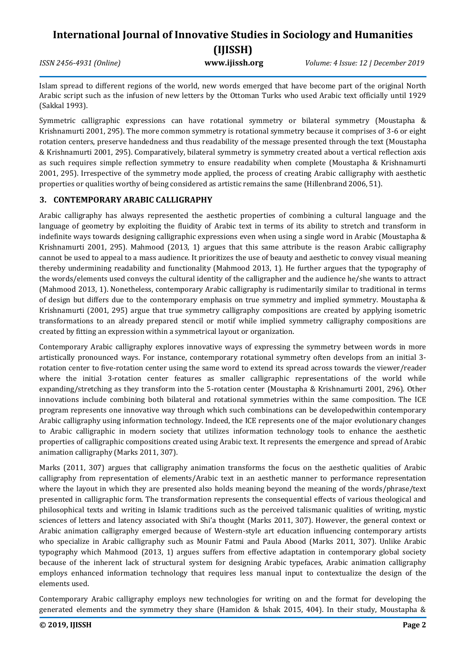*ISSN 2456-4931 (Online)* **www.ijissh.org** *Volume: 4 Issue: 12 | December 2019*

Islam spread to different regions of the world, new words emerged that have become part of the original North Arabic script such as the infusion of new letters by the Ottoman Turks who used Arabic text officially until 1929 (Sakkal 1993).

Symmetric calligraphic expressions can have rotational symmetry or bilateral symmetry (Moustapha & Krishnamurti 2001, 295). The more common symmetry is rotational symmetry because it comprises of 3-6 or eight rotation centers, preserve handedness and thus readability of the message presented through the text (Moustapha & Krishnamurti 2001, 295). Comparatively, bilateral symmetry is symmetry created about a vertical reflection axis as such requires simple reflection symmetry to ensure readability when complete (Moustapha & Krishnamurti 2001, 295). Irrespective of the symmetry mode applied, the process of creating Arabic calligraphy with aesthetic properties or qualities worthy of being considered as artistic remains the same (Hillenbrand 2006, 51).

## **3. CONTEMPORARY ARABIC CALLIGRAPHY**

Arabic calligraphy has always represented the aesthetic properties of combining a cultural language and the language of geometry by exploiting the fluidity of Arabic text in terms of its ability to stretch and transform in indefinite ways towards designing calligraphic expressions even when using a single word in Arabic (Moustapha & Krishnamurti 2001, 295). Mahmood (2013, 1) argues that this same attribute is the reason Arabic calligraphy cannot be used to appeal to a mass audience. It prioritizes the use of beauty and aesthetic to convey visual meaning thereby undermining readability and functionality (Mahmood 2013, 1). He further argues that the typography of the words/elements used conveys the cultural identity of the calligrapher and the audience he/she wants to attract (Mahmood 2013, 1). Nonetheless, contemporary Arabic calligraphy is rudimentarily similar to traditional in terms of design but differs due to the contemporary emphasis on true symmetry and implied symmetry. Moustapha & Krishnamurti (2001, 295) argue that true symmetry calligraphy compositions are created by applying isometric transformations to an already prepared stencil or motif while implied symmetry calligraphy compositions are created by fitting an expression within a symmetrical layout or organization.

Contemporary Arabic calligraphy explores innovative ways of expressing the symmetry between words in more artistically pronounced ways. For instance, contemporary rotational symmetry often develops from an initial 3 rotation center to five-rotation center using the same word to extend its spread across towards the viewer/reader where the initial 3-rotation center features as smaller calligraphic representations of the world while expanding/stretching as they transform into the 5-rotation center (Moustapha & Krishnamurti 2001, 296). Other innovations include combining both bilateral and rotational symmetries within the same composition. The ICE program represents one innovative way through which such combinations can be developedwithin contemporary Arabic calligraphy using information technology. Indeed, the ICE represents one of the major evolutionary changes to Arabic calligraphic in modern society that utilizes information technology tools to enhance the aesthetic properties of calligraphic compositions created using Arabic text. It represents the emergence and spread of Arabic animation calligraphy (Marks 2011, 307).

Marks (2011, 307) argues that calligraphy animation transforms the focus on the aesthetic qualities of Arabic calligraphy from representation of elements/Arabic text in an aesthetic manner to performance representation where the layout in which they are presented also holds meaning beyond the meaning of the words/phrase/text presented in calligraphic form. The transformation represents the consequential effects of various theological and philosophical texts and writing in Islamic traditions such as the perceived talismanic qualities of writing, mystic sciences of letters and latency associated with Shi'a thought (Marks 2011, 307). However, the general context or Arabic animation calligraphy emerged because of Western-style art education influencing contemporary artists who specialize in Arabic calligraphy such as Mounir Fatmi and Paula Abood (Marks 2011, 307). Unlike Arabic typography which Mahmood (2013, 1) argues suffers from effective adaptation in contemporary global society because of the inherent lack of structural system for designing Arabic typefaces, Arabic animation calligraphy employs enhanced information technology that requires less manual input to contextualize the design of the elements used.

Contemporary Arabic calligraphy employs new technologies for writing on and the format for developing the generated elements and the symmetry they share (Hamidon & Ishak 2015, 404). In their study, Moustapha &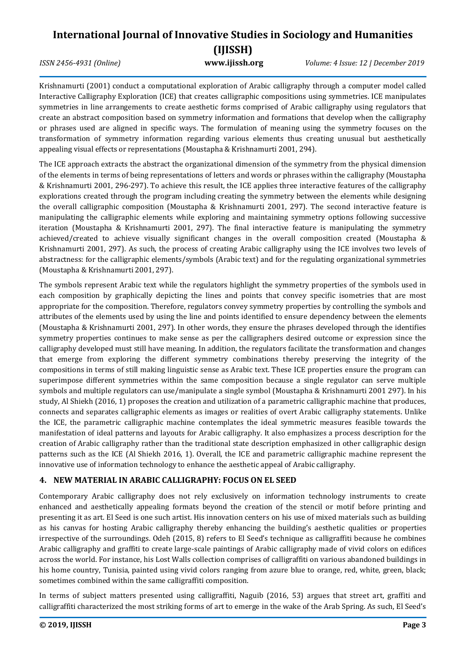*ISSN 2456-4931 (Online)* **www.ijissh.org** *Volume: 4 Issue: 12 | December 2019*

Krishnamurti (2001) conduct a computational exploration of Arabic calligraphy through a computer model called Interactive Calligraphy Exploration (ICE) that creates calligraphic compositions using symmetries. ICE manipulates symmetries in line arrangements to create aesthetic forms comprised of Arabic calligraphy using regulators that create an abstract composition based on symmetry information and formations that develop when the calligraphy or phrases used are aligned in specific ways. The formulation of meaning using the symmetry focuses on the transformation of symmetry information regarding various elements thus creating unusual but aesthetically appealing visual effects or representations (Moustapha & Krishnamurti 2001, 294).

The ICE approach extracts the abstract the organizational dimension of the symmetry from the physical dimension of the elements in terms of being representations of letters and words or phrases within the calligraphy (Moustapha & Krishnamurti 2001, 296-297). To achieve this result, the ICE applies three interactive features of the calligraphy explorations created through the program including creating the symmetry between the elements while designing the overall calligraphic composition (Moustapha & Krishnamurti 2001, 297). The second interactive feature is manipulating the calligraphic elements while exploring and maintaining symmetry options following successive iteration (Moustapha & Krishnamurti 2001, 297). The final interactive feature is manipulating the symmetry achieved/created to achieve visually significant changes in the overall composition created (Moustapha & Krishnamurti 2001, 297). As such, the process of creating Arabic calligraphy using the ICE involves two levels of abstractness: for the calligraphic elements/symbols (Arabic text) and for the regulating organizational symmetries (Moustapha & Krishnamurti 2001, 297).

The symbols represent Arabic text while the regulators highlight the symmetry properties of the symbols used in each composition by graphically depicting the lines and points that convey specific isometries that are most appropriate for the composition. Therefore, regulators convey symmetry properties by controlling the symbols and attributes of the elements used by using the line and points identified to ensure dependency between the elements (Moustapha & Krishnamurti 2001, 297). In other words, they ensure the phrases developed through the identifies symmetry properties continues to make sense as per the calligraphers desired outcome or expression since the calligraphy developed must still have meaning. In addition, the regulators facilitate the transformation and changes that emerge from exploring the different symmetry combinations thereby preserving the integrity of the compositions in terms of still making linguistic sense as Arabic text. These ICE properties ensure the program can superimpose different symmetries within the same composition because a single regulator can serve multiple symbols and multiple regulators can use/manipulate a single symbol (Moustapha & Krishnamurti 2001 297). In his study, Al Shiekh (2016, 1) proposes the creation and utilization of a parametric calligraphic machine that produces, connects and separates calligraphic elements as images or realities of overt Arabic calligraphy statements. Unlike the ICE, the parametric calligraphic machine contemplates the ideal symmetric measures feasible towards the manifestation of ideal patterns and layouts for Arabic calligraphy. It also emphasizes a process description for the creation of Arabic calligraphy rather than the traditional state description emphasized in other calligraphic design patterns such as the ICE (Al Shiekh 2016, 1). Overall, the ICE and parametric calligraphic machine represent the innovative use of information technology to enhance the aesthetic appeal of Arabic calligraphy.

## **4. NEW MATERIAL IN ARABIC CALLIGRAPHY: FOCUS ON EL SEED**

Contemporary Arabic calligraphy does not rely exclusively on information technology instruments to create enhanced and aesthetically appealing formats beyond the creation of the stencil or motif before printing and presenting it as art. El Seed is one such artist. His innovation centers on his use of mixed materials such as building as his canvas for hosting Arabic calligraphy thereby enhancing the building's aesthetic qualities or properties irrespective of the surroundings. Odeh (2015, 8) refers to El Seed's technique as calligraffiti because he combines Arabic calligraphy and graffiti to create large-scale paintings of Arabic calligraphy made of vivid colors on edifices across the world. For instance, his Lost Walls collection comprises of calligraffiti on various abandoned buildings in his home country, Tunisia, painted using vivid colors ranging from azure blue to orange, red, white, green, black; sometimes combined within the same calligraffiti composition.

In terms of subject matters presented using calligraffiti, Naguib (2016, 53) argues that street art, graffiti and calligraffiti characterized the most striking forms of art to emerge in the wake of the Arab Spring. As such, El Seed's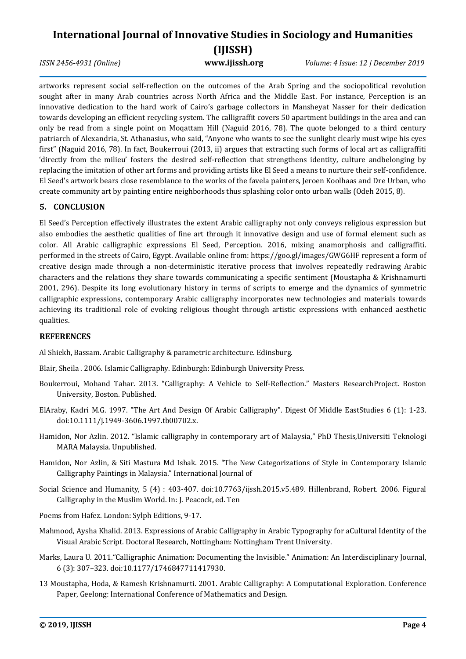## **International Journal of Innovative Studies in Sociology and Humanities (IJISSH)** *ISSN 2456-4931 (Online)* **www.ijissh.org** *Volume: 4 Issue: 12 | December 2019*

artworks represent social self-reflection on the outcomes of the Arab Spring and the sociopolitical revolution sought after in many Arab countries across North Africa and the Middle East. For instance, Perception is an innovative dedication to the hard work of Cairo's garbage collectors in Mansheyat Nasser for their dedication towards developing an efficient recycling system. The calligraffit covers 50 apartment buildings in the area and can only be read from a single point on Moqattam Hill (Naguid 2016, 78). The quote belonged to a third century patriarch of Alexandria, St. Athanasius, who said, "Anyone who wants to see the sunlight clearly must wipe his eyes first" (Naguid 2016, 78). In fact, Boukerroui (2013, ii) argues that extracting such forms of local art as calligraffiti 'directly from the milieu' fosters the desired self-reflection that strengthens identity, culture andbelonging by replacing the imitation of other art forms and providing artists like El Seed a means to nurture their self-confidence. El Seed's artwork bears close resemblance to the works of the favela painters, Jeroen Koolhaas and Dre Urban, who create community art by painting entire neighborhoods thus splashing color onto urban walls (Odeh 2015, 8).

## **5. CONCLUSION**

El Seed's Perception effectively illustrates the extent Arabic calligraphy not only conveys religious expression but also embodies the aesthetic qualities of fine art through it innovative design and use of formal element such as color. All Arabic calligraphic expressions El Seed, Perception. 2016, mixing anamorphosis and calligraffiti. performed in the streets of Cairo, Egypt. Available online from: https://goo.gl/images/GWG6HF represent a form of creative design made through a non-deterministic iterative process that involves repeatedly redrawing Arabic characters and the relations they share towards communicating a specific sentiment (Moustapha & Krishnamurti 2001, 296). Despite its long evolutionary history in terms of scripts to emerge and the dynamics of symmetric calligraphic expressions, contemporary Arabic calligraphy incorporates new technologies and materials towards achieving its traditional role of evoking religious thought through artistic expressions with enhanced aesthetic qualities.

## **REFERENCES**

Al Shiekh, Bassam. Arabic Calligraphy & parametric architecture. Edinsburg.

Blair, Sheila . 2006. Islamic Calligraphy. Edinburgh: Edinburgh University Press.

- Boukerroui, Mohand Tahar. 2013. "Calligraphy: A Vehicle to Self-Reflection." Masters ResearchProject. Boston University, Boston. Published.
- ElAraby, Kadri M.G. 1997. "The Art And Design Of Arabic Calligraphy". Digest Of Middle EastStudies 6 (1): 1-23. doi:10.1111/j.1949-3606.1997.tb00702.x.
- Hamidon, Nor Azlin. 2012. "Islamic calligraphy in contemporary art of Malaysia," PhD Thesis,Universiti Teknologi MARA Malaysia. Unpublished.
- Hamidon, Nor Azlin, & Siti Mastura Md Ishak. 2015. "The New Categorizations of Style in Contemporary Islamic Calligraphy Paintings in Malaysia." International Journal of
- Social Science and Humanity, 5 (4) : 403-407. doi:10.7763/ijssh.2015.v5.489. Hillenbrand, Robert. 2006. Figural Calligraphy in the Muslim World. In: J. Peacock, ed. Ten
- Poems from Hafez. London: Sylph Editions, 9-17.
- Mahmood, Aysha Khalid. 2013. Expressions of Arabic Calligraphy in Arabic Typography for aCultural Identity of the Visual Arabic Script. Doctoral Research, Nottingham: Nottingham Trent University.
- Marks, Laura U. 2011."Calligraphic Animation: Documenting the Invisible." Animation: An Interdisciplinary Journal, 6 (3): 307–323. doi:10.1177/1746847711417930.
- 13 Moustapha, Hoda, & Ramesh Krishnamurti. 2001. Arabic Calligraphy: A Computational Exploration. Conference Paper, Geelong: International Conference of Mathematics and Design.